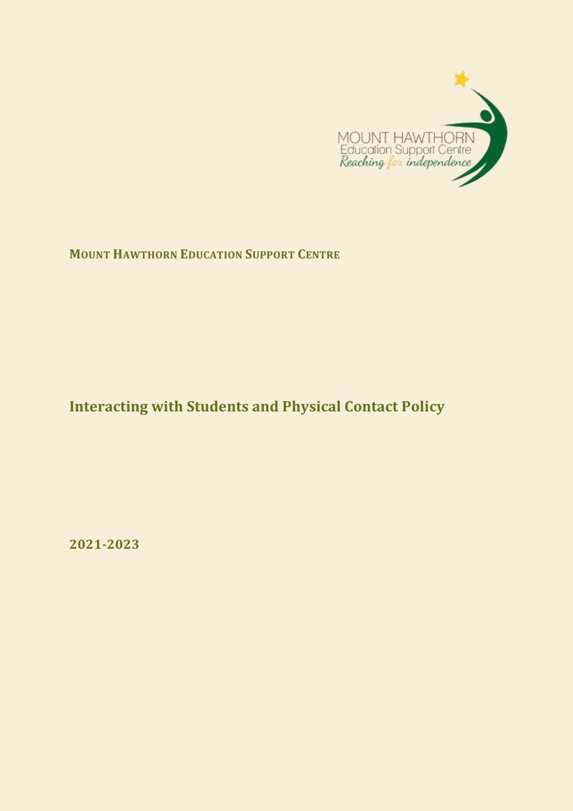

**MOUNT HAWTHORN EDUCATION SUPPORT CENTRE**

# **Interacting with Students and Physical Contact Policy**

**2021-2023**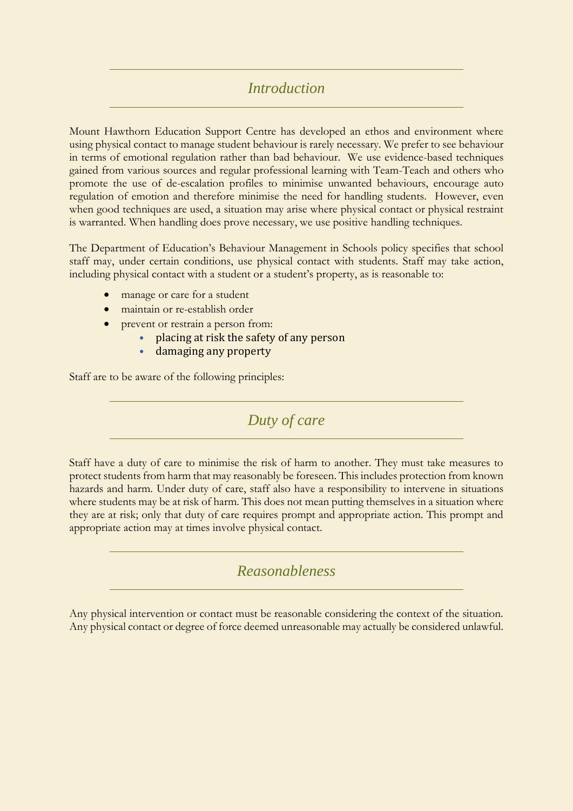### *Introduction*

Mount Hawthorn Education Support Centre has developed an ethos and environment where using physical contact to manage student behaviour is rarely necessary. We prefer to see behaviour in terms of emotional regulation rather than bad behaviour. We use evidence-based techniques gained from various sources and regular professional learning with Team-Teach and others who promote the use of de-escalation profiles to minimise unwanted behaviours, encourage auto regulation of emotion and therefore minimise the need for handling students. However, even when good techniques are used, a situation may arise where physical contact or physical restraint is warranted. When handling does prove necessary, we use positive handling techniques.

The Department of Education's Behaviour Management in Schools policy specifies that school staff may, under certain conditions, use physical contact with students. Staff may take action, including physical contact with a student or a student's property, as is reasonable to:

- manage or care for a student
- maintain or re-establish order
- prevent or restrain a person from:
	- placing at risk the safety of any person
	- damaging any property

Staff are to be aware of the following principles:

*Duty of care*

Staff have a duty of care to minimise the risk of harm to another. They must take measures to protect students from harm that may reasonably be foreseen. This includes protection from known hazards and harm. Under duty of care, staff also have a responsibility to intervene in situations where students may be at risk of harm. This does not mean putting themselves in a situation where they are at risk; only that duty of care requires prompt and appropriate action. This prompt and appropriate action may at times involve physical contact.

*Reasonableness*

Any physical intervention or contact must be reasonable considering the context of the situation. Any physical contact or degree of force deemed unreasonable may actually be considered unlawful.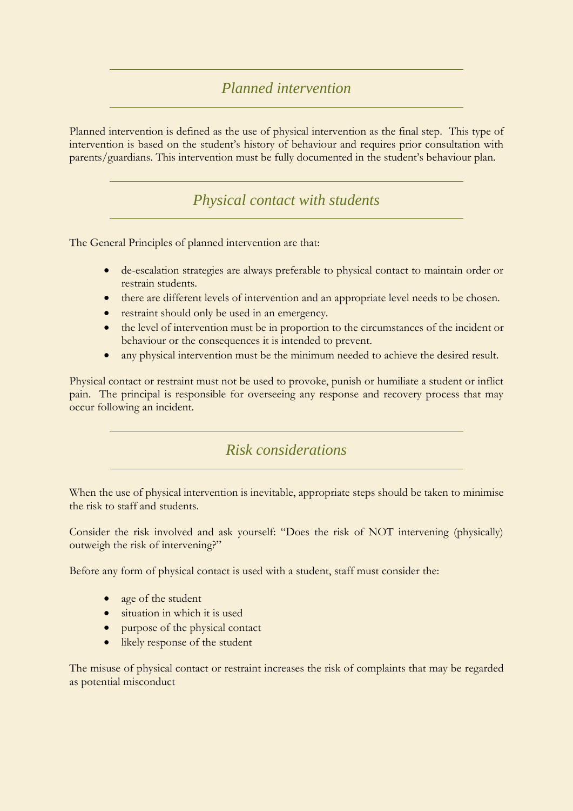# *Planned intervention*

Planned intervention is defined as the use of physical intervention as the final step. This type of intervention is based on the student's history of behaviour and requires prior consultation with parents/guardians. This intervention must be fully documented in the student's behaviour plan.

*Physical contact with students*

The General Principles of planned intervention are that:

- de-escalation strategies are always preferable to physical contact to maintain order or restrain students.
- there are different levels of intervention and an appropriate level needs to be chosen.
- restraint should only be used in an emergency.
- the level of intervention must be in proportion to the circumstances of the incident or behaviour or the consequences it is intended to prevent.
- any physical intervention must be the minimum needed to achieve the desired result.

Physical contact or restraint must not be used to provoke, punish or humiliate a student or inflict pain. The principal is responsible for overseeing any response and recovery process that may occur following an incident.

# *Risk considerations*

When the use of physical intervention is inevitable, appropriate steps should be taken to minimise the risk to staff and students.

Consider the risk involved and ask yourself: "Does the risk of NOT intervening (physically) outweigh the risk of intervening?"

Before any form of physical contact is used with a student, staff must consider the:

- age of the student
- situation in which it is used
- purpose of the physical contact
- likely response of the student

The misuse of physical contact or restraint increases the risk of complaints that may be regarded as potential misconduct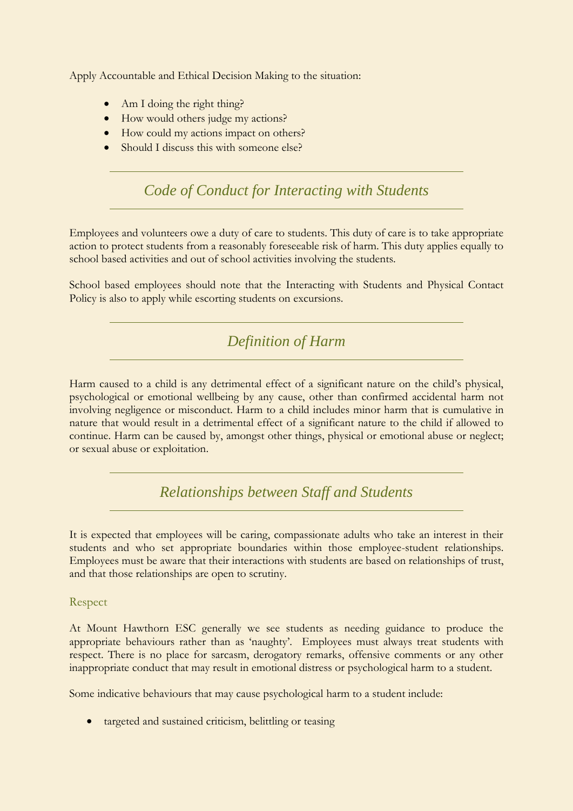Apply Accountable and Ethical Decision Making to the situation:

- Am I doing the right thing?
- How would others judge my actions?
- How could my actions impact on others?
- Should I discuss this with someone else?

*Code of Conduct for Interacting with Students*

Employees and volunteers owe a duty of care to students. This duty of care is to take appropriate action to protect students from a reasonably foreseeable risk of harm. This duty applies equally to school based activities and out of school activities involving the students.

School based employees should note that the Interacting with Students and Physical Contact Policy is also to apply while escorting students on excursions.

*Definition of Harm*

Harm caused to a child is any detrimental effect of a significant nature on the child's physical, psychological or emotional wellbeing by any cause, other than confirmed accidental harm not involving negligence or misconduct. Harm to a child includes minor harm that is cumulative in nature that would result in a detrimental effect of a significant nature to the child if allowed to continue. Harm can be caused by, amongst other things, physical or emotional abuse or neglect; or sexual abuse or exploitation.

*Relationships between Staff and Students*

It is expected that employees will be caring, compassionate adults who take an interest in their students and who set appropriate boundaries within those employee-student relationships. Employees must be aware that their interactions with students are based on relationships of trust, and that those relationships are open to scrutiny.

Respect

At Mount Hawthorn ESC generally we see students as needing guidance to produce the appropriate behaviours rather than as 'naughty'. Employees must always treat students with respect. There is no place for sarcasm, derogatory remarks, offensive comments or any other inappropriate conduct that may result in emotional distress or psychological harm to a student.

Some indicative behaviours that may cause psychological harm to a student include:

targeted and sustained criticism, belittling or teasing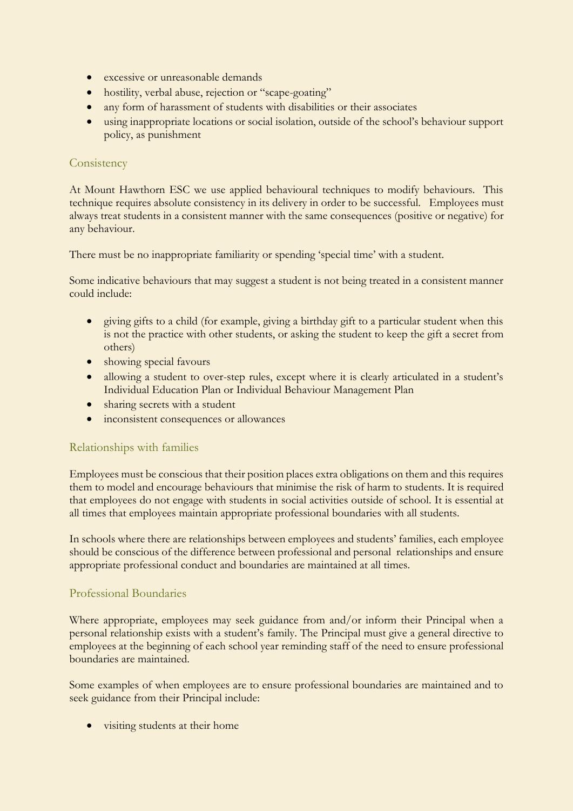- excessive or unreasonable demands
- hostility, verbal abuse, rejection or "scape-goating"
- any form of harassment of students with disabilities or their associates
- using inappropriate locations or social isolation, outside of the school's behaviour support policy, as punishment

#### **Consistency**

At Mount Hawthorn ESC we use applied behavioural techniques to modify behaviours. This technique requires absolute consistency in its delivery in order to be successful. Employees must always treat students in a consistent manner with the same consequences (positive or negative) for any behaviour.

There must be no inappropriate familiarity or spending 'special time' with a student.

Some indicative behaviours that may suggest a student is not being treated in a consistent manner could include:

- giving gifts to a child (for example, giving a birthday gift to a particular student when this is not the practice with other students, or asking the student to keep the gift a secret from others)
- showing special favours
- allowing a student to over-step rules, except where it is clearly articulated in a student's Individual Education Plan or Individual Behaviour Management Plan
- sharing secrets with a student
- inconsistent consequences or allowances

#### Relationships with families

Employees must be conscious that their position places extra obligations on them and this requires them to model and encourage behaviours that minimise the risk of harm to students. It is required that employees do not engage with students in social activities outside of school. It is essential at all times that employees maintain appropriate professional boundaries with all students.

In schools where there are relationships between employees and students' families, each employee should be conscious of the difference between professional and personal relationships and ensure appropriate professional conduct and boundaries are maintained at all times.

#### Professional Boundaries

Where appropriate, employees may seek guidance from and/or inform their Principal when a personal relationship exists with a student's family. The Principal must give a general directive to employees at the beginning of each school year reminding staff of the need to ensure professional boundaries are maintained.

Some examples of when employees are to ensure professional boundaries are maintained and to seek guidance from their Principal include:

visiting students at their home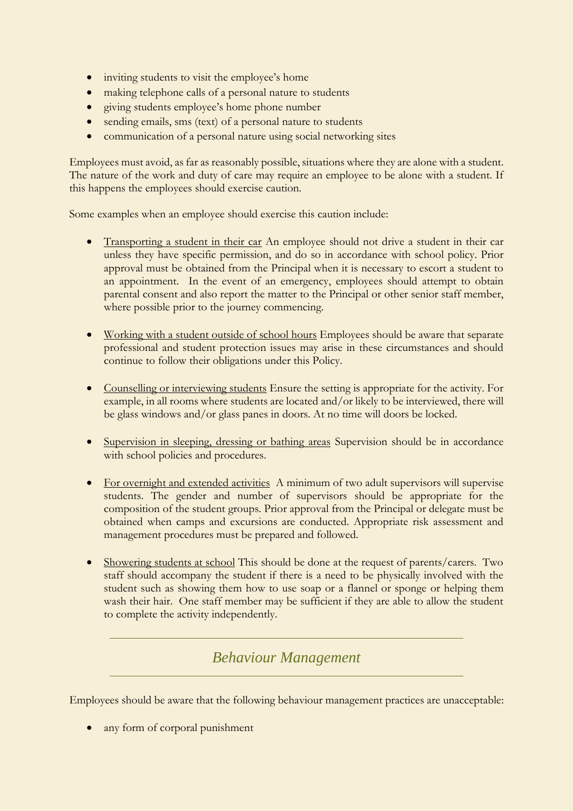- inviting students to visit the employee's home
- making telephone calls of a personal nature to students
- giving students employee's home phone number
- sending emails, sms (text) of a personal nature to students
- communication of a personal nature using social networking sites

Employees must avoid, as far as reasonably possible, situations where they are alone with a student. The nature of the work and duty of care may require an employee to be alone with a student. If this happens the employees should exercise caution.

Some examples when an employee should exercise this caution include:

- Transporting a student in their car An employee should not drive a student in their car unless they have specific permission, and do so in accordance with school policy. Prior approval must be obtained from the Principal when it is necessary to escort a student to an appointment. In the event of an emergency, employees should attempt to obtain parental consent and also report the matter to the Principal or other senior staff member, where possible prior to the journey commencing.
- Working with a student outside of school hours Employees should be aware that separate professional and student protection issues may arise in these circumstances and should continue to follow their obligations under this Policy.
- Counselling or interviewing students Ensure the setting is appropriate for the activity. For example, in all rooms where students are located and/or likely to be interviewed, there will be glass windows and/or glass panes in doors. At no time will doors be locked.
- Supervision in sleeping, dressing or bathing areas Supervision should be in accordance with school policies and procedures.
- For overnight and extended activities A minimum of two adult supervisors will supervise students. The gender and number of supervisors should be appropriate for the composition of the student groups. Prior approval from the Principal or delegate must be obtained when camps and excursions are conducted. Appropriate risk assessment and management procedures must be prepared and followed.
- Showering students at school This should be done at the request of parents/carers. Two staff should accompany the student if there is a need to be physically involved with the student such as showing them how to use soap or a flannel or sponge or helping them wash their hair. One staff member may be sufficient if they are able to allow the student to complete the activity independently.

# *Behaviour Management*

Employees should be aware that the following behaviour management practices are unacceptable:

• any form of corporal punishment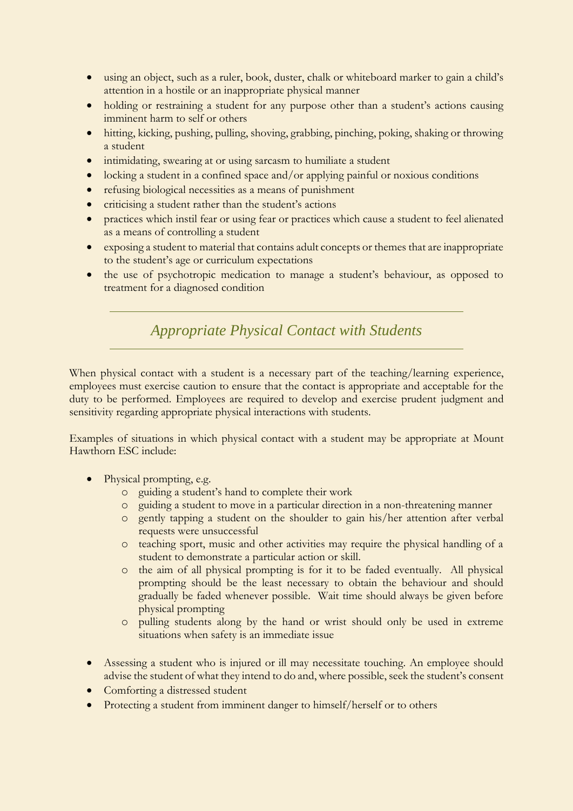- using an object, such as a ruler, book, duster, chalk or whiteboard marker to gain a child's attention in a hostile or an inappropriate physical manner
- holding or restraining a student for any purpose other than a student's actions causing imminent harm to self or others
- hitting, kicking, pushing, pulling, shoving, grabbing, pinching, poking, shaking or throwing a student
- intimidating, swearing at or using sarcasm to humiliate a student
- $\bullet$  locking a student in a confined space and/or applying painful or noxious conditions
- refusing biological necessities as a means of punishment
- criticising a student rather than the student's actions
- practices which instil fear or using fear or practices which cause a student to feel alienated as a means of controlling a student
- exposing a student to material that contains adult concepts or themes that are inappropriate to the student's age or curriculum expectations
- the use of psychotropic medication to manage a student's behaviour, as opposed to treatment for a diagnosed condition

*Appropriate Physical Contact with Students*

When physical contact with a student is a necessary part of the teaching/learning experience, employees must exercise caution to ensure that the contact is appropriate and acceptable for the duty to be performed. Employees are required to develop and exercise prudent judgment and sensitivity regarding appropriate physical interactions with students.

Examples of situations in which physical contact with a student may be appropriate at Mount Hawthorn ESC include:

- Physical prompting, e.g.
	- o guiding a student's hand to complete their work
	- o guiding a student to move in a particular direction in a non-threatening manner
	- o gently tapping a student on the shoulder to gain his/her attention after verbal requests were unsuccessful
	- o teaching sport, music and other activities may require the physical handling of a student to demonstrate a particular action or skill.
	- o the aim of all physical prompting is for it to be faded eventually. All physical prompting should be the least necessary to obtain the behaviour and should gradually be faded whenever possible. Wait time should always be given before physical prompting
	- o pulling students along by the hand or wrist should only be used in extreme situations when safety is an immediate issue
- Assessing a student who is injured or ill may necessitate touching. An employee should advise the student of what they intend to do and, where possible, seek the student's consent
- Comforting a distressed student
- Protecting a student from imminent danger to himself/herself or to others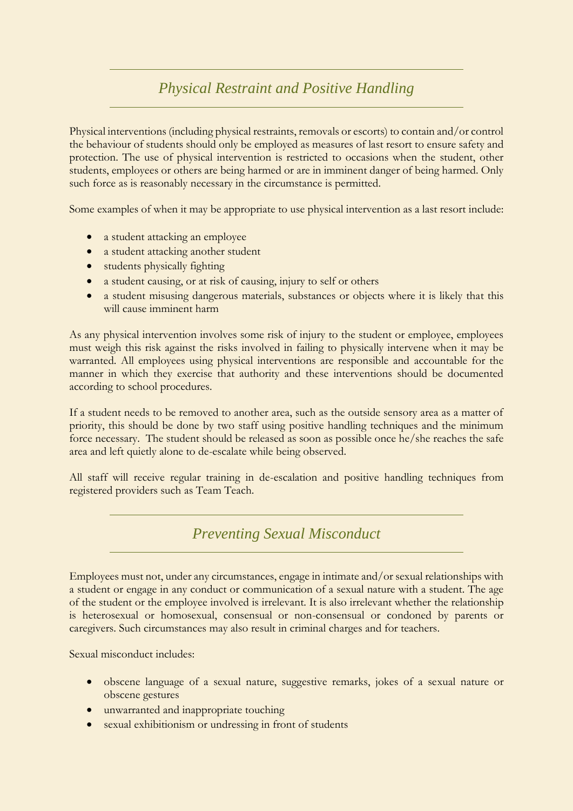# *Physical Restraint and Positive Handling*

Physical interventions (including physical restraints, removals or escorts) to contain and/or control the behaviour of students should only be employed as measures of last resort to ensure safety and protection. The use of physical intervention is restricted to occasions when the student, other students, employees or others are being harmed or are in imminent danger of being harmed. Only such force as is reasonably necessary in the circumstance is permitted.

Some examples of when it may be appropriate to use physical intervention as a last resort include:

- a student attacking an employee
- a student attacking another student
- students physically fighting
- a student causing, or at risk of causing, injury to self or others
- a student misusing dangerous materials, substances or objects where it is likely that this will cause imminent harm

As any physical intervention involves some risk of injury to the student or employee, employees must weigh this risk against the risks involved in failing to physically intervene when it may be warranted. All employees using physical interventions are responsible and accountable for the manner in which they exercise that authority and these interventions should be documented according to school procedures.

If a student needs to be removed to another area, such as the outside sensory area as a matter of priority, this should be done by two staff using positive handling techniques and the minimum force necessary. The student should be released as soon as possible once he/she reaches the safe area and left quietly alone to de-escalate while being observed.

All staff will receive regular training in de-escalation and positive handling techniques from registered providers such as Team Teach.

# *Preventing Sexual Misconduct*

Employees must not, under any circumstances, engage in intimate and/or sexual relationships with a student or engage in any conduct or communication of a sexual nature with a student. The age of the student or the employee involved is irrelevant. It is also irrelevant whether the relationship is heterosexual or homosexual, consensual or non-consensual or condoned by parents or caregivers. Such circumstances may also result in criminal charges and for teachers.

Sexual misconduct includes:

- obscene language of a sexual nature, suggestive remarks, jokes of a sexual nature or obscene gestures
- unwarranted and inappropriate touching
- sexual exhibitionism or undressing in front of students